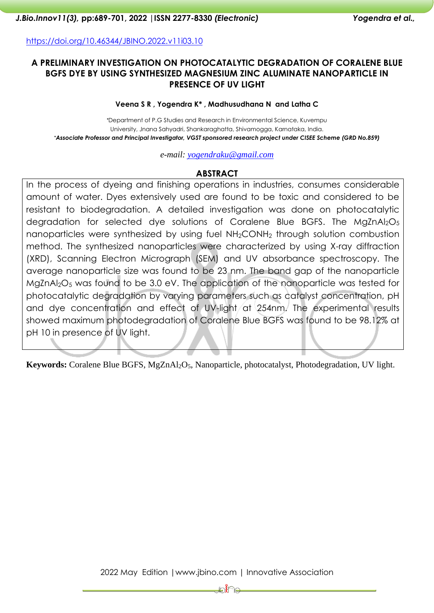<https://doi.org/10.46344/JBINO.2022.v11i03.10>

## **A PRELIMINARY INVESTIGATION ON PHOTOCATALYTIC DEGRADATION OF CORALENE BLUE BGFS DYE BY USING SYNTHESIZED MAGNESIUM ZINC ALUMINATE NANOPARTICLE IN PRESENCE OF UV LIGHT**

#### **Veena S R , Yogendra K\* , Madhusudhana N and Latha C**

*\**Department of P.G Studies and Research in Environmental Science, Kuvempu University, Jnana Sahyadri, Shankaraghatta, Shivamogga, Karnataka, India. *\*Associate Professor and Principal Investigator, VGST sponsored research project under CISEE Scheme (GRD No.859)*

*e-mail: [yogendraku@gmail.com](mailto:yogendraku@gmail.com)*

# **ABSTRACT**

In the process of dyeing and finishing operations in industries, consumes considerable amount of water. Dyes extensively used are found to be toxic and considered to be resistant to biodegradation. A detailed investigation was done on photocatalytic degradation for selected dye solutions of Coralene Blue BGFS. The MgZnAl<sub>2</sub>O<sub>5</sub> nanoparticles were synthesized by using fuel NH<sub>2</sub>CONH<sub>2</sub> through solution combustion method. The synthesized nanoparticles were characterized by using X-ray diffraction (XRD), Scanning Electron Micrograph (SEM) and UV absorbance spectroscopy. The average nanoparticle size was found to be 23 nm. The band gap of the nanoparticle MgZnAl<sub>2</sub>O<sub>5</sub> was found to be 3.0 eV. The application of the nanoparticle was tested for photocatalytic degradation by varying parameters such as catalyst concentration, pH and dye concentration and effect of UV-light at 254nm. The experimental results showed maximum photodegradation of Coralene Blue BGFS was found to be 98.12% at pH 10 in presence of UV light.

**Keywords:** Coralene Blue BGFS, MgZnAl2O5, Nanoparticle, photocatalyst, Photodegradation, UV light.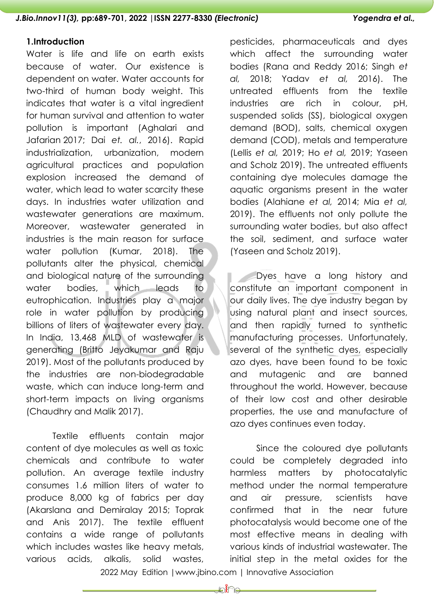#### **1.Introduction**

Water is life and life on earth exists because of water. Our existence is dependent on water. Water accounts for two-third of human body weight. This indicates that water is a vital ingredient for human survival and attention to water pollution is important (Aghalari and Jafarian [2017;](https://foodcontaminationjournal.biomedcentral.com/articles/10.1186/s40550-020-00080-9#ref-CR5) Dai *et. al.*, [2016\)](https://foodcontaminationjournal.biomedcentral.com/articles/10.1186/s40550-020-00080-9#ref-CR9). Rapid industrialization, urbanization, modern agricultural practices and population explosion increased the demand of water, which lead to water scarcity these days. In industries water utilization and wastewater generations are maximum. Moreover, wastewater generated in industries is the main reason for surface water pollution (Kumar, 2018). The pollutants alter the physical, chemical and biological nature of the surrounding water bodies, which leads to eutrophication. Industries play a major role in water pollution by producing billions of liters of wastewater every day. In India, 13,468 MLD of wastewater is generating (Britto Jeyakumar and Raju 2019). Most of the pollutants produced by the industries are non-biodegradable waste, which can induce long-term and short-term impacts on living organisms (Chaudhry and Malik 2017).

Textile effluents contain major content of dye molecules as well as toxic chemicals and contribute to water pollution. An average textile industry consumes 1.6 million liters of water to produce 8,000 kg of fabrics per day (Akarslana and Demiralay 2015; Toprak and Anis 2017). The textile effluent contains a wide range of pollutants which includes wastes like heavy metals, various acids, alkalis, solid wastes, pesticides, pharmaceuticals and dyes which affect the surrounding water bodies (Rana and Reddy 2016; Singh *et al,* 2018; Yadav *et al,* 2016). The untreated effluents from the textile industries are rich in colour, pH, suspended solids (SS), biological oxygen demand (BOD), salts, chemical oxygen demand (COD), metals and temperature (Lellis *et al,* 2019; Ho *et al,* 2019; Yaseen and Scholz 2019). The untreated effluents containing dye molecules damage the aquatic organisms present in the water bodies (Alahiane *et al,* 2014; Mia *et al,* 2019). The effluents not only pollute the surrounding water bodies, but also affect the soil, sediment, and surface water (Yaseen and Scholz 2019).

Dyes have a long history and constitute an important component in our daily lives. The dye industry began by using natural plant and insect sources, and then rapidly turned to synthetic manufacturing processes. Unfortunately, several of the synthetic dyes, especially azo dyes, have been found to be toxic and mutagenic and are banned throughout the world. However, because of their low cost and other desirable properties, the use and manufacture of azo dyes continues even today.

Since the coloured dye pollutants could be completely degraded into harmless matters by photocatalytic method under the normal temperature and air pressure, scientists have confirmed that in the near future photocatalysis would become one of the most effective means in dealing with various kinds of industrial wastewater. The initial step in the metal oxides for the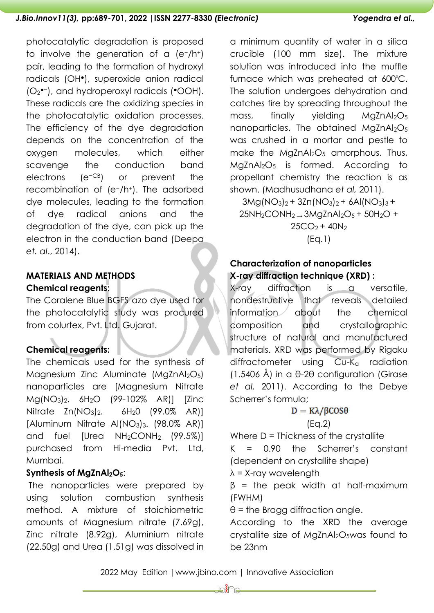photocatalytic degradation is proposed to involve the generation of a (e−/h+) pair, leading to the formation of hydroxyl radicals (OH●), superoxide anion radical (O<sup>2</sup> ●−), and hydroperoxyl radicals (●OOH). These radicals are the oxidizing species in the photocatalytic oxidation processes. The efficiency of the dye degradation depends on the concentration of the oxygen molecules, which either scavenge the conduction band electrons (e−CB) or prevent the recombination of (e−/h+). The adsorbed dye molecules, leading to the formation of dye radical anions and the degradation of the dye, can pick up the electron in the conduction band (Deepa *et. al*., 2014).

# **MATERIALS AND METHODS Chemical reagents:**

The Coralene Blue BGFS azo dye used for the photocatalytic study was procured from colurtex, Pvt. Ltd. Gujarat.

# **Chemical reagents:**

The chemicals used for the synthesis of Magnesium Zinc Aluminate (MgZnAl<sub>2</sub>O<sub>5</sub>) nanoparticles are [Magnesium Nitrate Mg(NO3)2. 6H2O (99-102% AR)] [Zinc Nitrate Zn(NO<sub>3</sub>)<sub>2</sub>, 6H<sub>2</sub>O (99.0% AR)] [Aluminum Nitrate Al(NO3)3. (98.0% AR)] and fuel [Urea NH<sub>2</sub>CONH<sub>2</sub> (99.5%)] purchased from Hi-media Pvt. Ltd, Mumbai.

# **Synthesis of MgZnAl2O5**:

The nanoparticles were prepared by using solution combustion synthesis method. A mixture of stoichiometric amounts of Magnesium nitrate (7.69g), Zinc nitrate (8.92g), Aluminium nitrate (22.50g) and Urea (1.51g) was dissolved in a minimum quantity of water in a silica crucible (100 mm size). The mixture solution was introduced into the muffle furnace which was preheated at 600°C. The solution undergoes dehydration and catches fire by spreading throughout the mass, finally yielding  $MqZnAl<sub>2</sub>O<sub>5</sub>$ nanoparticles. The obtained MgZnAl<sub>2</sub>O<sub>5</sub> was crushed in a mortar and pestle to make the MgZnAl<sub>2</sub>O<sub>5</sub> amorphous. Thus, MgZnAl2O<sup>5</sup> is formed. According to propellant chemistry the reaction is as shown. (Madhusudhana *et al,* 2011).

 $3Mg(NO_3)_2 + 3Zn(NO_3)_2 + 6Al(NO_3)_3 +$  $25NH<sub>2</sub>CONH<sub>2</sub> \rightarrow 3MqZnAl<sub>2</sub>O<sub>5</sub> + 50H<sub>2</sub>O +$  $25CO<sub>2</sub> + 40N<sub>2</sub>$ 

(Eq.1)

# **Characterization of nanoparticles X-ray diffraction technique (XRD) :**

X-ray diffraction is a versatile, nondestructive that reveals detailed information about the chemical composition and crystallographic structure of natural and manufactured materials. XRD was performed by Rigaku diffractometer using  $Cu-K<sub>a</sub>$  radiation (1.5406 Å) in a θ-2θ configuration (Girase *et al,* 2011). According to the Debye Scherrer's formula;

# $D = K\lambda/\beta$ COS $\theta$

# (Eq.2)

Where  $D =$  Thickness of the crystallite K = 0.90 the Scherrer's constant (dependent on crystallite shape)

 $\lambda$  = X-ray wavelength

 $β = the peak width at half-maximum$ (FWHM)

 $\theta$  = the Bragg diffraction angle.

According to the XRD the average crystallite size of MgZnAl<sub>2</sub>O<sub>5</sub>was found to be 23nm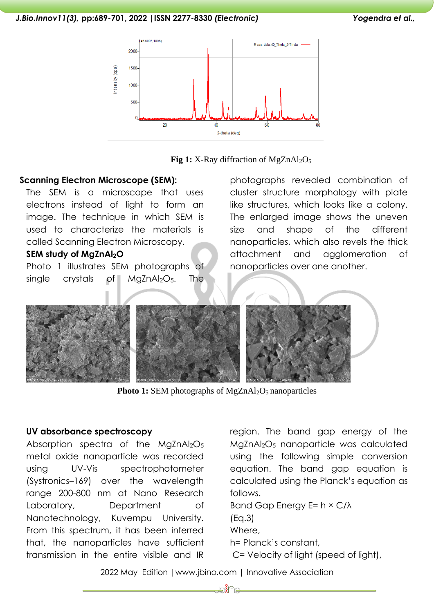



## **Scanning Electron Microscope (SEM):**

The SEM is a microscope that uses electrons instead of light to form an image. The technique in which SEM is used to characterize the materials is called Scanning Electron Microscopy.

# **SEM study of MgZnAl2O**

Photo 1 illustrates SEM photographs of single crystals of MaZnAl<sub>2</sub>O<sub>5</sub>. The photographs revealed combination of cluster structure morphology with plate like structures, which looks like a colony. The enlarged image shows the uneven size and shape of the different nanoparticles, which also revels the thick attachment and agglomeration of nanoparticles over one another.



**Photo 1:** SEM photographs of MgZnAl<sub>2</sub>O<sub>5</sub> nanoparticles

#### **UV absorbance spectroscopy**

Absorption spectra of the MgZnAl<sub>2</sub>O<sub>5</sub> metal oxide nanoparticle was recorded using UV-Vis spectrophotometer (Systronics–169) over the wavelength range 200-800 nm at Nano Research Laboratory, Department of Nanotechnology, Kuvempu University. From this spectrum, it has been inferred that, the nanoparticles have sufficient transmission in the entire visible and IR

region. The band gap energy of the MgZnAl<sub>2</sub>O<sub>5</sub> nanoparticle was calculated using the following simple conversion equation. The band gap equation is calculated using the Planck's equation as follows.

Band Gap Energy E= h × C/λ

(Eq.3)

Where,

h= Planck's constant,

C= Velocity of light (speed of light),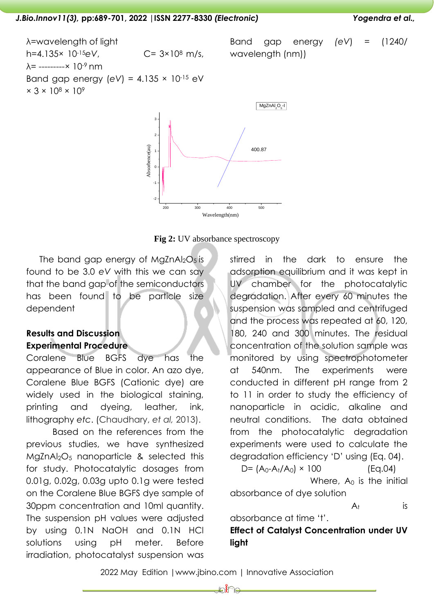λ=wavelength of light h=4.135× 10-15*eV*, C= 3×10<sup>8</sup> m/s,  $\lambda$ = ---------× 10<sup>-9</sup> nm Band gap energy (*eV*) = 4.135 × 10-15 eV  $\times$  3  $\times$  10<sup>8</sup>  $\times$  10<sup>9</sup> Band gap energy *(eV*) = (1240/ wavelength (nm))





The band gap energy of  $MqZnAl<sub>2</sub>O<sub>5</sub>$  is found to be 3.0 *eV* with this we can say that the band gap of the semiconductors has been found to be particle size dependent

# **Results and Discussion Experimental Procedure**

Coralene Blue BGFS dye has the appearance of Blue in color. An azo dye, Coralene Blue BGFS (Cationic dye) are widely used in the biological staining, printing and dyeing, leather, ink, lithography *etc*. (Chaudhary, *et al,* 2013).

Based on the references from the previous studies, we have synthesized MgZnAl2O<sup>5</sup> nanoparticle & selected this for study. Photocatalytic dosages from 0.01g, 0.02g, 0.03g upto 0.1g were tested on the Coralene Blue BGFS dye sample of 30ppm concentration and 10ml quantity. The suspension pH values were adjusted by using 0.1N NaOH and 0.1N HCl solutions using pH meter. Before irradiation, photocatalyst suspension was stirred in the dark to ensure the adsorption equilibrium and it was kept in UV chamber for the photocatalytic degradation. After every 60 minutes the suspension was sampled and centrifuged and the process was repeated at 60, 120, 180, 240 and 300 minutes. The residual concentration of the solution sample was monitored by using spectrophotometer at 540nm. The experiments were conducted in different pH range from 2 to 11 in order to study the efficiency of nanoparticle in acidic, alkaline and neutral conditions. The data obtained from the photocatalytic degradation experiments were used to calculate the degradation efficiency 'D' using (Eq. 04).

 $D = (A_0 - A_t / A_0) \times 100$  (Eq.04)

Where,  $A_0$  is the initial

absorbance of dye solution

 $A_t$  is

absorbance at time 't'.

**Effect of Catalyst Concentration under UV light**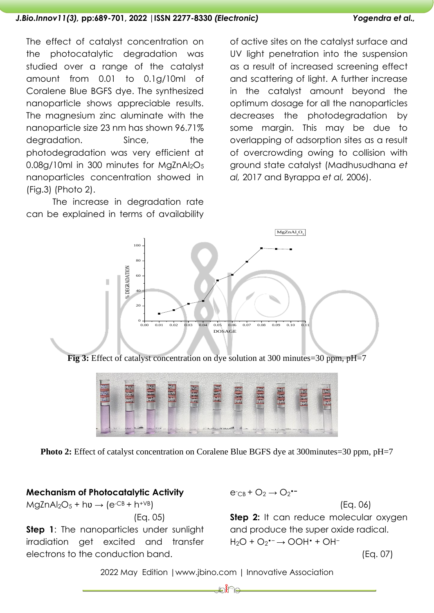The effect of catalyst concentration on the photocatalytic degradation was studied over a range of the catalyst amount from 0.01 to 0.1g/10ml of Coralene Blue BGFS dye. The synthesized nanoparticle shows appreciable results. The magnesium zinc aluminate with the nanoparticle size 23 nm has shown 96.71% degradation. Since, the photodegradation was very efficient at  $0.08$ g/10ml in 300 minutes for MgZnAl<sub>2</sub>O<sub>5</sub> nanoparticles concentration showed in (Fig.3) (Photo 2).

The increase in degradation rate can be explained in terms of availability of active sites on the catalyst surface and UV light penetration into the suspension as a result of increased screening effect and scattering of light. A further increase in the catalyst amount beyond the optimum dosage for all the nanoparticles decreases the photodegradation by some margin. This may be due to overlapping of adsorption sites as a result of overcrowding owing to collision with ground state catalyst (Madhusudhana *et al,* 2017 and Byrappa *et al,* 2006).



**Fig 3:** Effect of catalyst concentration on dye solution at 300 minutes=30 ppm, pH=7



**Photo 2:** Effect of catalyst concentration on Coralene Blue BGFS dye at 300minutes=30 ppm, pH=7

#### **Mechanism of Photocatalytic Activity**

 $MqZnAl<sub>2</sub>O<sub>5</sub> + h**v** \rightarrow (e<sup>-CB</sup> + h<sup>+VB</sup>)$ 

(Eq. 05)

**Step 1:** The nanoparticles under sunlight irradiation get excited and transfer electrons to the conduction band.

 $e^-c_B + O_2 \rightarrow O_2$ <sup>\*</sup>

(Eq. 06)

**Step 2:** It can reduce molecular oxygen and produce the super oxide radical.  $H_2O + O_2$ <sup>+-</sup> → OOH<sup>+</sup> + OH<sup>-</sup>

(Eq. 07)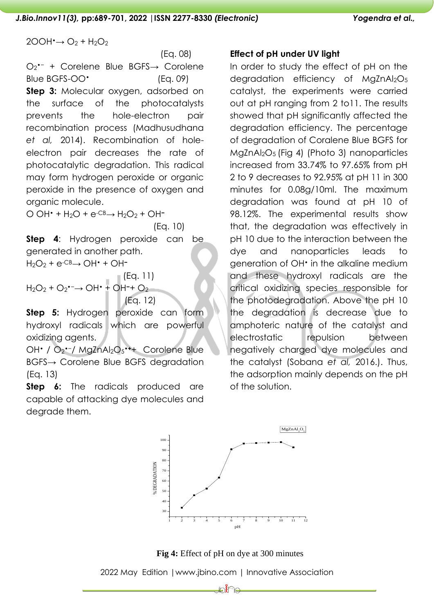$2OOH^{\bullet}\rightarrow O_2 + H_2O_2$ 

 (Eq. 08) O<sup>2</sup> •− + Corelene Blue BGFS→ Corolene Blue BGFS-OO<sup>•</sup> (Eq. 09) **Step 3:** Molecular oxygen, adsorbed on the surface of the photocatalysts prevents the hole-electron pair recombination process (Madhusudhana *et al,* 2014). Recombination of holeelectron pair decreases the rate of photocatalytic degradation. This radical may form hydrogen peroxide or organic peroxide in the presence of oxygen and organic molecule.

O OH• + H2O + e-CB→ H2O<sup>2</sup> + OH**<sup>−</sup>**

(Eq. 10)

**Step 4**: Hydrogen peroxide can be generated in another path.

H2O<sup>2</sup> + e-CB→ OH• + OH**<sup>−</sup>**

(Eq. 11) H2O<sup>2</sup> + O<sup>2</sup> •−→ OH• + OH**−**+ O<sup>2</sup> (Eq. 12)

**Step 5:** Hydrogen peroxide can form hydroxyl radicals which are powerful oxidizing agents.

OH• / O<sup>2</sup> •−/ MgZnAl2O<sup>5</sup> **•+**+ Corolene Blue BGFS→ Corolene Blue BGFS degradation (Eq. 13)

**Step 6:** The radicals produced are capable of attacking dye molecules and degrade them.

# **Effect of pH under UV light**

In order to study the effect of pH on the degradation efficiency of  $MqZnAl_2O_5$ catalyst, the experiments were carried out at pH ranging from 2 to11. The results showed that pH significantly affected the degradation efficiency. The percentage of degradation of Coralene Blue BGFS for MgZnAl2O5 (Fig 4) (Photo 3) nanoparticles increased from 33.74% to 97.65% from pH 2 to 9 decreases to 92.95% at pH 11 in 300 minutes for 0.08g/10ml. The maximum degradation was found at pH 10 of 98.12%. The experimental results show that, the degradation was effectively in pH 10 due to the interaction between the dye and nanoparticles leads to generation of OH• in the alkaline medium and these hydroxyl radicals are the critical oxidizing species responsible for the photodegradation. Above the pH 10 the degradation is decrease due to amphoteric nature of the catalyst and electrostatic repulsion between negatively charged dye molecules and the catalyst (Sobana *et al,* 2016.). Thus, the adsorption mainly depends on the pH of the solution.



**Fig 4:** Effect of pH on dye at 300 minutes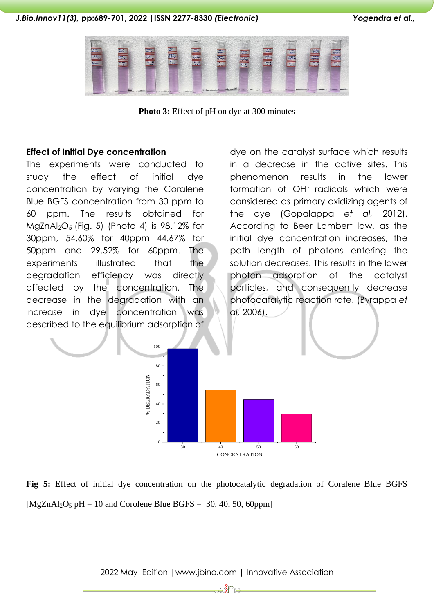

**Photo 3:** Effect of pH on dye at 300 minutes

#### **Effect of Initial Dye concentration**

The experiments were conducted to study the effect of initial dye concentration by varying the Coralene Blue BGFS concentration from 30 ppm to 60 ppm. The results obtained for  $MgZnAl<sub>2</sub>O<sub>5</sub>$  (Fig. 5) (Photo 4) is 98.12% for 30ppm, 54.60% for 40ppm 44.67% for 50ppm and 29.52% for 60ppm. The experiments illustrated that the degradation efficiency was directly affected by the concentration. The decrease in the degradation with an increase in dye concentration was described to the equilibrium adsorption of

dye on the catalyst surface which results in a decrease in the active sites. This phenomenon results in the lower formation of OH**·** radicals which were considered as primary oxidizing agents of the dye (Gopalappa *et al,* 2012). According to Beer Lambert law, as the initial dye concentration increases, the path length of photons entering the solution decreases. This results in the lower photon adsorption of the catalyst particles, and consequently decrease photocatalytic reaction rate. (Byrappa *et al,* 2006).



**Fig 5:** Effect of initial dye concentration on the photocatalytic degradation of Coralene Blue BGFS  $[MgZnAl<sub>2</sub>O<sub>5</sub> pH = 10$  and Corolene Blue BGFS = 30, 40, 50, 60ppm]

2022 May Edition |www.jbino.com | Innovative Association

∦∕ طة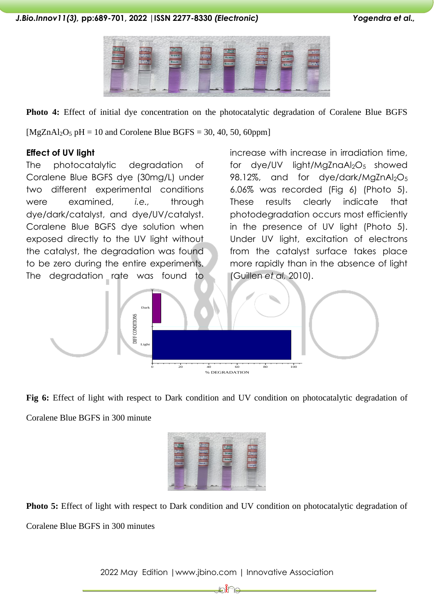

**Photo 4:** Effect of initial dye concentration on the photocatalytic degradation of Coralene Blue BGFS  $[MgZnA]_2O_5$  pH = 10 and Corolene Blue BGFS = 30, 40, 50, 60ppm

### **Effect of UV light**

The photocatalytic degradation of Coralene Blue BGFS dye (30mg/L) under two different experimental conditions were examined, *i.e.,* through dye/dark/catalyst, and dye/UV/catalyst. Coralene Blue BGFS dye solution when exposed directly to the UV light without the catalyst, the degradation was found to be zero during the entire experiments. The degradation rate was found to increase with increase in irradiation time, for dye/UV light/MgZnaAl<sub>2</sub>O<sub>5</sub> showed 98.12%, and for dye/dark/MgZnAl<sub>2</sub>O<sub>5</sub> 6.06% was recorded (Fig 6) (Photo 5). These results clearly indicate that photodegradation occurs most efficiently in the presence of UV light (Photo 5). Under UV light, excitation of electrons from the catalyst surface takes place more rapidly than in the absence of light (Guillen *et al,* 2010).



**Fig 6:** Effect of light with respect to Dark condition and UV condition on photocatalytic degradation of Coralene Blue BGFS in 300 minute



**Photo 5:** Effect of light with respect to Dark condition and UV condition on photocatalytic degradation of Coralene Blue BGFS in 300 minutes

2022 May Edition |www.jbino.com | Innovative Association

∦∕ طة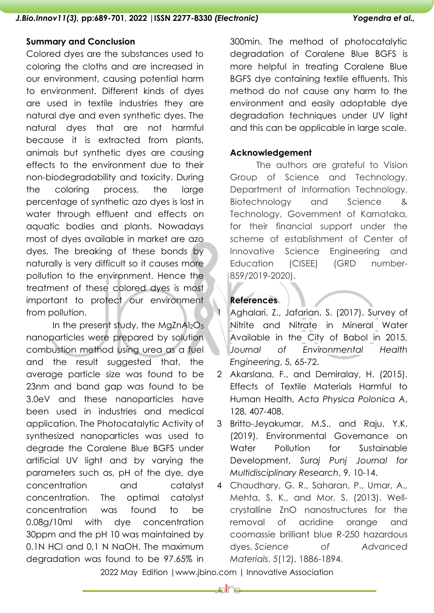#### **Summary and Conclusion**

Colored dyes are the substances used to coloring the cloths and are increased in our environment, causing potential harm to environment. Different kinds of dyes are used in textile industries they are natural dye and even synthetic dyes. The natural dyes that are not harmful because it is extracted from plants, animals but synthetic dyes are causing effects to the environment due to their non-biodegradability and toxicity. During the coloring process, the large percentage of synthetic azo dyes is lost in water through effluent and effects on aquatic bodies and plants. Nowadays most of dyes available in market are azo dyes. The breaking of these bonds by naturally is very difficult so it causes more pollution to the environment. Hence the treatment of these colored dyes is most important to protect our environment from pollution.

In the present study, the MaZnAl<sub>2</sub>O<sub>5</sub> nanoparticles were prepared by solution combustion method using urea as a fuel and the result suggested that, the average particle size was found to be 23nm and band gap was found to be 3.0eV and these nanoparticles have been used in industries and medical application. The Photocatalytic Activity of synthesized nanoparticles was used to degrade the Coralene Blue BGFS under artificial UV light and by varying the parameters such as, pH of the dye, dye concentration and catalyst concentration. The optimal catalyst concentration was found to be 0.08g/10ml with dye concentration 30ppm and the pH 10 was maintained by 0.1N HCl and 0.1 N NaOH. The maximum degradation was found to be 97.65% in

300min. The method of photocatalytic degradation of Coralene Blue BGFS is more helpful in treating Coralene Blue BGFS dye containing textile effluents. This method do not cause any harm to the environment and easily adoptable dye degradation techniques under UV light and this can be applicable in large scale.

### **Acknowledgement**

The authors are grateful to Vision Group of Science and Technology, Department of Information Technology, Biotechnology and Science & Technology, Government of Karnataka, for their financial support under the scheme of establishment of Center of Innovative Science Engineering and Education (CISEE) (GRD number-859/2019-2020).

# **References**

Aghalari, Z., Jafarian, S. (2017). Survey of Nitrite and Nitrate in Mineral Water Available in the City of Babol in 2015, *Journal of Environmental Health Engineering*, 5, 65-72.

- 2 Akarslana, F., and Demiralay, H. (2015). Effects of Textile Materials Harmful to Human Health, *Acta Physica Polonica A*, 128, 407-408.
- 3 Britto-Jeyakumar, M.S., and Raju, Y.K. (2019). Environmental Governance on Water Pollution for Sustainable Development, *Suraj Punj Journal for Multidisciplinary Research*, 9, 10-14.
- 4 Chaudhary, G. R., Saharan, P., Umar, A., Mehta, S. K., and Mor, S. (2013). Wellcrystalline ZnO nanostructures for the removal of acridine orange and coomassie brilliant blue R-250 hazardous dyes. *Science of Advanced Materials*, *5*(12), 1886-1894.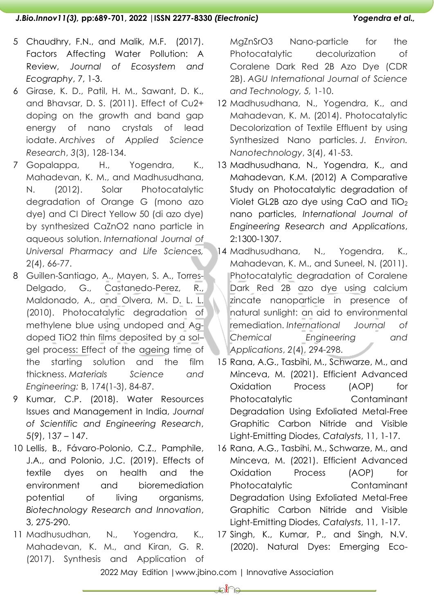- 5 Chaudhry, F.N., and Malik, M.F. (2017). Factors Affecting Water Pollution: A Review, *Journal of Ecosystem and Ecography*, 7, 1-3.
- 6 Girase, K. D., Patil, H. M., Sawant, D. K., and Bhavsar, D. S. (2011). Effect of Cu2+ doping on the growth and band gap energy of nano crystals of lead iodate. *Archives of Applied Science Research*, *3*(3), 128-134.
- 7 Gopalappa, H., Yogendra, K., Mahadevan, K. M., and Madhusudhana, N. (2012). Solar Photocatalytic degradation of Orange G (mono azo dye) and CI Direct Yellow 50 (di azo dye) by synthesized CaZnO2 nano particle in aqueous solution. *International Journal of Universal Pharmacy and Life Sciences,*  2(4), 66-77.
- 8 Guillen-Santiago, A., Mayen, S. A., Torres-Delgado, G., Castanedo-Perez, R., Maldonado, A., and Olvera, M. D. L. L. (2010). Photocatalytic degradation of methylene blue using undoped and Agdoped TiO2 thin films deposited by a sol– gel process: Effect of the ageing time of the starting solution and the film thickness. *Materials Science and Engineering:* B, 174(1-3), 84-87.
- 9 Kumar, C.P. (2018). Water Resources Issues and Management in India, *Journal of Scientific and Engineering Research*, 5(9), 137 – 147.
- 10 Lellis, B., Fávaro-Polonio, C.Z., Pamphile, J.A., and Polonio, J.C. (2019). Effects of textile dyes on health and the environment and bioremediation potential of living organisms, *Biotechnology Research and Innovation*, 3, 275-290.
- 11 Madhusudhan, N., Yogendra, K., Mahadevan, K. M., and Kiran, G. R. (2017). Synthesis and Application of

MgZnSrO3 Nano-particle for the Photocatalytic decolurization of Coralene Dark Red 2B Azo Dye (CDR 2B). *AGU International Journal of Science and Technology, 5,* 1-10.

- 12 Madhusudhana, N., Yogendra, K., and Mahadevan, K. M. (2014). Photocatalytic Decolorization of Textile Effluent by using Synthesized Nano particles. *J. Environ. Nanotechnology*, 3(4), 41-53.
- 13 Madhusudhana, N., Yogendra, K., and Mahadevan, K.M. (2012) A Comparative Study on Photocatalytic degradation of Violet GL2B azo dye using CaO and TiO<sup>2</sup> nano particles, *International Journal of Engineering Research and Applications*, 2:1300-1307.
- 14 Madhusudhana, N., Yogendra, K., Mahadevan, K. M., and Suneel, N. (2011). Photocatalytic degradation of Coralene Dark Red 2B azo dye using calcium zincate nanoparticle in presence of natural sunlight: an aid to environmental remediation. *International Journal of Chemical Engineering and Applications*, *2*(4), 294-298.
- 15 Rana, A.G., Tasbihi, M., Schwarze, M., and Minceva, M. (2021). Efficient Advanced Oxidation Process (AOP) for Photocatalytic Contaminant Degradation Using Exfoliated Metal-Free Graphitic Carbon Nitride and Visible Light-Emitting Diodes, *Catalysts*, 11, 1-17.
- 16 Rana, A.G., Tasbihi, M., Schwarze, M., and Minceva, M. (2021). Efficient Advanced Oxidation Process (AOP) for Photocatalytic Contaminant Degradation Using Exfoliated Metal-Free Graphitic Carbon Nitride and Visible Light-Emitting Diodes, *Catalysts*, 11, 1-17.
- 17 Singh, K., Kumar, P., and Singh, N.V. (2020). Natural Dyes: Emerging Eco-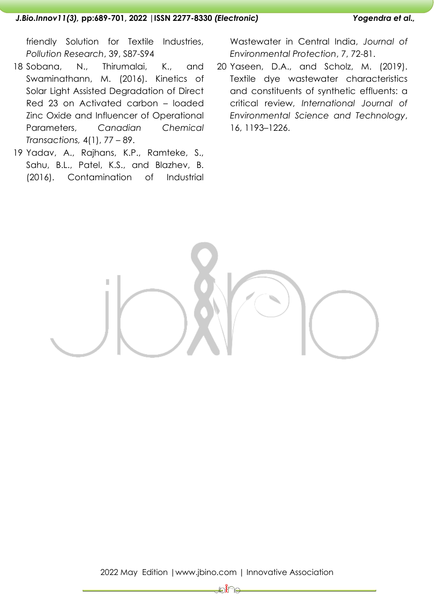friendly Solution for Textile Industries, *Pollution Research*, 39, S87-S94

- 18 Sobana, N., Thirumalai, K., and Swaminathann, M. (2016). Kinetics of Solar Light Assisted Degradation of Direct Red 23 on Activated carbon – loaded Zinc Oxide and Influencer of Operational Parameters, *Canadian Chemical Transactions,* 4(1), 77 – 89.
- 19 Yadav, A., Rajhans, K.P., Ramteke, S., Sahu, B.L., Patel, K.S., and Blazhev, B. (2016). Contamination of Industrial

Wastewater in Central India, *Journal of Environmental Protection*, 7, 72-81.

20 Yaseen, D.A., and Scholz, M. (2019). Textile dye wastewater characteristics and constituents of synthetic effluents: a critical review, *International Journal of Environmental Science and Technology*, 16, 1193–1226.